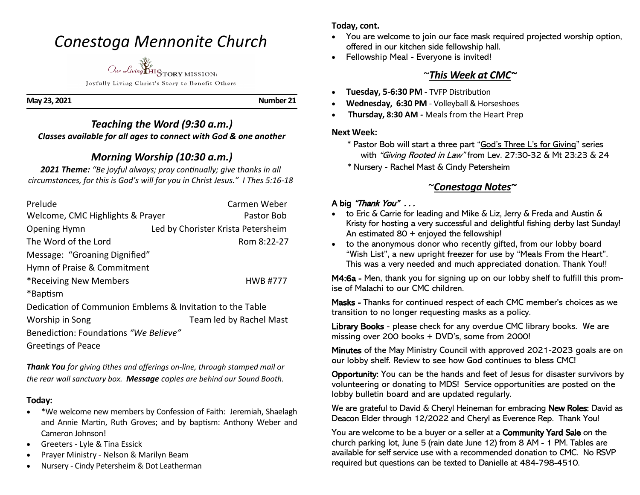# *Conestoga Mennonite Church*



Joyfully Living Christ's Story to Benefit Others

**May 23, 2021 Number 21** 

### *Teaching the Word (9:30 a.m.) Classes available for all ages to connect with God & one another*

# *Morning Worship (10:30 a.m.)*

*2021 Theme: "Be joyful always; pray continually; give thanks in all circumstances, for this is God's will for you in Christ Jesus." I Thes 5:16-18*

| Prelude                                                   | Carmen Weber                       |
|-----------------------------------------------------------|------------------------------------|
| Welcome, CMC Highlights & Prayer                          | Pastor Bob                         |
| Opening Hymn                                              | Led by Chorister Krista Petersheim |
| The Word of the Lord                                      | Rom 8:22-27                        |
| Message: "Groaning Dignified"                             |                                    |
| Hymn of Praise & Commitment                               |                                    |
| *Receiving New Members                                    | <b>HWB#777</b>                     |
| *Baptism                                                  |                                    |
| Dedication of Communion Emblems & Invitation to the Table |                                    |
| Worship in Song                                           | Team led by Rachel Mast            |
| Benediction: Foundations "We Believe"                     |                                    |

Greetings of Peace

*Thank You for giving tithes and offerings on-line, through stamped mail or the rear wall sanctuary box. Message copies are behind our Sound Booth.*

### **Today:**

- \*We welcome new members by Confession of Faith: Jeremiah, Shaelagh and Annie Martin, Ruth Groves; and by baptism: Anthony Weber and Cameron Johnson!
- Greeters Lyle & Tina Essick
- Prayer Ministry Nelson & Marilyn Beam
- Nursery Cindy Petersheim & Dot Leatherman

**Today, cont.**

- You are welcome to join our face mask required projected worship option, offered in our kitchen side fellowship hall.
- Fellowship Meal Everyone is invited!

# ~*This Week at CMC~*

- **Tuesday, 5-6:30 PM -** TVFP Distribution
- **Wednesday, 6:30 PM**  Volleyball & Horseshoes
- **Thursday, 8:30 AM -** Meals from the Heart Prep

### **Next Week:**

- \* Pastor Bob will start a three part "God's Three L's for Giving" series with "Giving Rooted in Law" from Lev. 27:30-32 & Mt 23:23 & 24
- \* Nursery Rachel Mast & Cindy Petersheim

# ~*Conestoga Notes~*

### A big "Thank You" ...

- to Eric & Carrie for leading and Mike & Liz, Jerry & Freda and Austin & Kristy for hosting a very successful and delightful fishing derby last Sunday! An estimated 80 + enjoyed the fellowship!
- to the anonymous donor who recently gifted, from our lobby board "Wish List", a new upright freezer for use by "Meals From the Heart". This was a very needed and much appreciated donation. Thank You!!

M4:6a - Men, thank you for signing up on our lobby shelf to fulfill this promise of Malachi to our CMC children.

Masks - Thanks for continued respect of each CMC member's choices as we transition to no longer requesting masks as a policy.

Library Books - please check for any overdue CMC library books. We are missing over 200 books + DVD's, some from 2000!

Minutes of the May Ministry Council with approved 2021-2023 goals are on our lobby shelf. Review to see how God continues to bless CMC!

Opportunity: You can be the hands and feet of Jesus for disaster survivors by volunteering or donating to MDS! Service opportunities are posted on the lobby bulletin board and are updated regularly.

We are grateful to David & Cheryl Heineman for embracing New Roles: David as Deacon Elder through 12/2022 and Cheryl as Everence Rep. Thank You!

You are welcome to be a buyer or a seller at a Community Yard Sale on the church parking lot, June 5 (rain date June 12) from 8 AM - 1 PM. Tables are available for self service use with a recommended donation to CMC. No RSVP required but questions can be texted to Danielle at 484-798-4510.